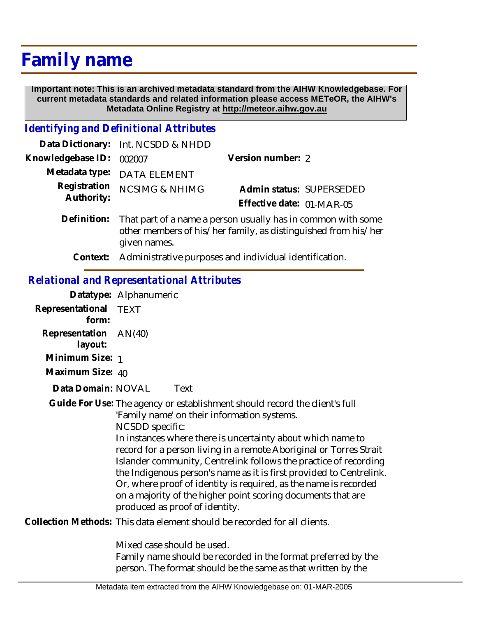# **Family name**

 **Important note: This is an archived metadata standard from the AIHW Knowledgebase. For current metadata standards and related information please access METeOR, the AIHW's Metadata Online Registry at http://meteor.aihw.gov.au**

### *Identifying and Definitional Attributes*

|                            | Data Dictionary: Int. NCSDD & NHDD                                                                                                             |                           |                          |
|----------------------------|------------------------------------------------------------------------------------------------------------------------------------------------|---------------------------|--------------------------|
| Knowledgebase ID:          | 002007                                                                                                                                         | Version number: 2         |                          |
| Metadata type:             | <b>DATA ELEMENT</b>                                                                                                                            |                           |                          |
| Registration<br>Authority: | <b>NCSIMG &amp; NHIMG</b>                                                                                                                      |                           | Admin status: SUPERSEDED |
|                            |                                                                                                                                                | Effective date: 01-MAR-05 |                          |
| Definition:                | That part of a name a person usually has in common with some<br>other members of his/her family, as distinguished from his/her<br>given names. |                           |                          |
|                            | Context: Administrative purposes and individual identification.                                                                                |                           |                          |

#### *Relational and Representational Attributes*

**Datatype:** Alphanumeric **Representational** TEXT  **form: Representation** AN(40)  **layout: Minimum Size:** 1 **Maximum Size:** 40 Data Domain: NOVAL Text Guide For Use: The agency or establishment should record the client's full 'Family name' on their information systems. NCSDD specific: In instances where there is uncertainty about which name to record for a person living in a remote Aboriginal or Torres Strait Islander community, Centrelink follows the practice of recording the Indigenous person's name as it is first provided to Centrelink. Or, where proof of identity is required, as the name is recorded on a majority of the higher point scoring documents that are produced as proof of identity. Collection Methods: This data element should be recorded for all clients. Mixed case should be used. Family name should be recorded in the format preferred by the

person. The format should be the same as that written by the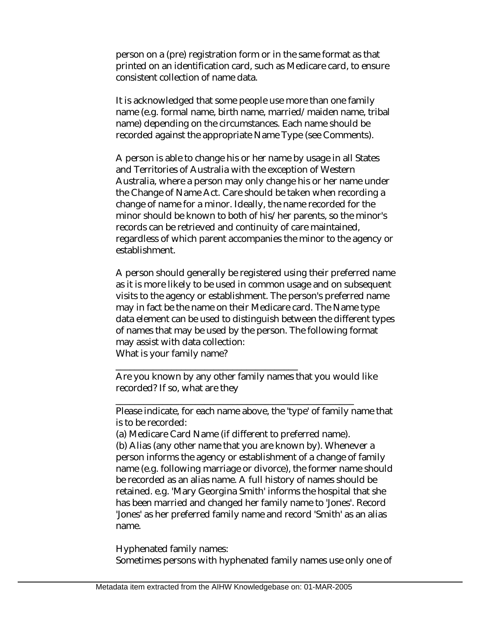person on a (pre) registration form or in the same format as that printed on an identification card, such as Medicare card, to ensure consistent collection of name data.

It is acknowledged that some people use more than one family name (e.g. formal name, birth name, married/maiden name, tribal name) depending on the circumstances. Each name should be recorded against the appropriate Name Type (see Comments).

A person is able to change his or her name by usage in all States and Territories of Australia with the exception of Western Australia, where a person may only change his or her name under the Change of Name Act. Care should be taken when recording a change of name for a minor. Ideally, the name recorded for the minor should be known to both of his/her parents, so the minor's records can be retrieved and continuity of care maintained, regardless of which parent accompanies the minor to the agency or establishment.

A person should generally be registered using their preferred name as it is more likely to be used in common usage and on subsequent visits to the agency or establishment. The person's preferred name may in fact be the name on their Medicare card. The Name type data element can be used to distinguish between the different types of names that may be used by the person. The following format may assist with data collection:

What is your family name?

\_\_\_\_\_\_\_\_\_\_\_\_\_\_\_\_\_\_\_\_\_\_\_\_\_\_\_\_\_\_\_\_\_\_\_\_\_\_\_

Are you known by any other family names that you would like recorded? If so, what are they

Please indicate, for each name above, the 'type' of family name that is to be recorded:

(a) Medicare Card Name (if different to preferred name).

\_\_\_\_\_\_\_\_\_\_\_\_\_\_\_\_\_\_\_\_\_\_\_\_\_\_\_\_\_\_\_\_\_\_\_\_\_\_\_\_\_\_\_\_\_\_\_\_\_\_\_

(b) Alias (any other name that you are known by). Whenever a person informs the agency or establishment of a change of family name (e.g. following marriage or divorce), the former name should be recorded as an alias name. A full history of names should be retained. e.g. 'Mary Georgina Smith' informs the hospital that she has been married and changed her family name to 'Jones'. Record 'Jones' as her preferred family name and record 'Smith' as an alias name.

Hyphenated family names: Sometimes persons with hyphenated family names use only one of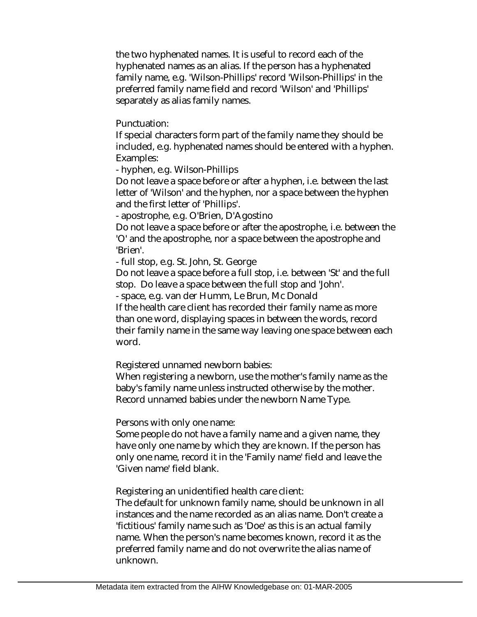the two hyphenated names. It is useful to record each of the hyphenated names as an alias. If the person has a hyphenated family name, e.g. 'Wilson-Phillips' record 'Wilson-Phillips' in the preferred family name field and record 'Wilson' and 'Phillips' separately as alias family names.

Punctuation:

If special characters form part of the family name they should be included, e.g. hyphenated names should be entered with a hyphen. Examples:

- hyphen, e.g. Wilson-Phillips

Do not leave a space before or after a hyphen, i.e. between the last letter of 'Wilson' and the hyphen, nor a space between the hyphen and the first letter of 'Phillips'.

- apostrophe, e.g. O'Brien, D'Agostino

Do not leave a space before or after the apostrophe, i.e. between the 'O' and the apostrophe, nor a space between the apostrophe and 'Brien'.

- full stop, e.g. St. John, St. George

Do not leave a space before a full stop, i.e. between 'St' and the full stop. Do leave a space between the full stop and 'John'.

- space, e.g. van der Humm, Le Brun, Mc Donald

If the health care client has recorded their family name as more than one word, displaying spaces in between the words, record their family name in the same way leaving one space between each word.

Registered unnamed newborn babies:

When registering a newborn, use the mother's family name as the baby's family name unless instructed otherwise by the mother. Record unnamed babies under the newborn Name Type.

Persons with only one name:

Some people do not have a family name and a given name, they have only one name by which they are known. If the person has only one name, record it in the 'Family name' field and leave the 'Given name' field blank.

Registering an unidentified health care client:

The default for unknown family name, should be unknown in all instances and the name recorded as an alias name. Don't create a 'fictitious' family name such as 'Doe' as this is an actual family name. When the person's name becomes known, record it as the preferred family name and do not overwrite the alias name of unknown.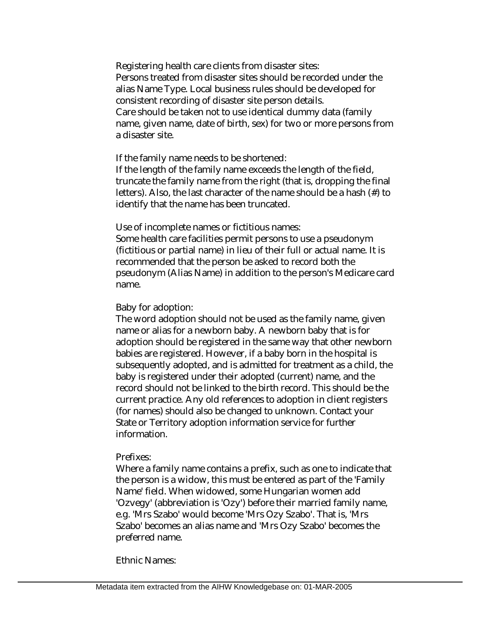Registering health care clients from disaster sites: Persons treated from disaster sites should be recorded under the alias Name Type. Local business rules should be developed for consistent recording of disaster site person details. Care should be taken not to use identical dummy data (family name, given name, date of birth, sex) for two or more persons from a disaster site.

If the family name needs to be shortened:

If the length of the family name exceeds the length of the field, truncate the family name from the right (that is, dropping the final letters). Also, the last character of the name should be a hash (#) to identify that the name has been truncated.

Use of incomplete names or fictitious names:

Some health care facilities permit persons to use a pseudonym (fictitious or partial name) in lieu of their full or actual name. It is recommended that the person be asked to record both the pseudonym (Alias Name) in addition to the person's Medicare card name.

Baby for adoption:

The word adoption should not be used as the family name, given name or alias for a newborn baby. A newborn baby that is for adoption should be registered in the same way that other newborn babies are registered. However, if a baby born in the hospital is subsequently adopted, and is admitted for treatment as a child, the baby is registered under their adopted (current) name, and the record should not be linked to the birth record. This should be the current practice. Any old references to adoption in client registers (for names) should also be changed to unknown. Contact your State or Territory adoption information service for further information.

#### Prefixes:

Where a family name contains a prefix, such as one to indicate that the person is a widow, this must be entered as part of the 'Family Name' field. When widowed, some Hungarian women add 'Ozvegy' (abbreviation is 'Ozy') before their married family name, e.g. 'Mrs Szabo' would become 'Mrs Ozy Szabo'. That is, 'Mrs Szabo' becomes an alias name and 'Mrs Ozy Szabo' becomes the preferred name.

Ethnic Names: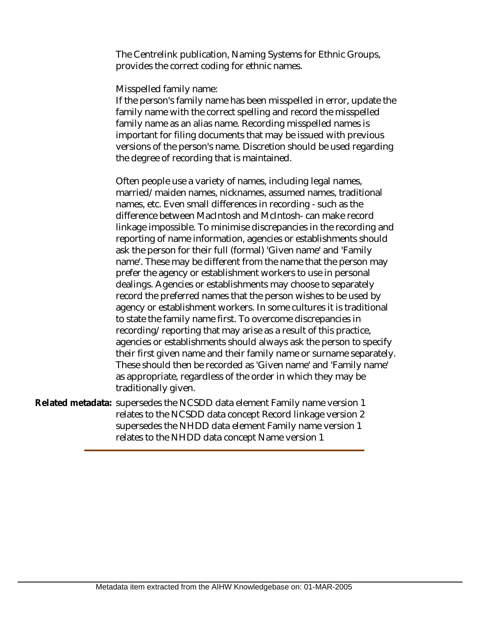The Centrelink publication, Naming Systems for Ethnic Groups, provides the correct coding for ethnic names.

Misspelled family name:

If the person's family name has been misspelled in error, update the family name with the correct spelling and record the misspelled family name as an alias name. Recording misspelled names is important for filing documents that may be issued with previous versions of the person's name. Discretion should be used regarding the degree of recording that is maintained.

Often people use a variety of names, including legal names, married/maiden names, nicknames, assumed names, traditional names, etc. Even small differences in recording - such as the difference between MacIntosh and McIntosh- can make record linkage impossible. To minimise discrepancies in the recording and reporting of name information, agencies or establishments should ask the person for their full (formal) 'Given name' and 'Family name'. These may be different from the name that the person may prefer the agency or establishment workers to use in personal dealings. Agencies or establishments may choose to separately record the preferred names that the person wishes to be used by agency or establishment workers. In some cultures it is traditional to state the family name first. To overcome discrepancies in recording/reporting that may arise as a result of this practice, agencies or establishments should always ask the person to specify their first given name and their family name or surname separately. These should then be recorded as 'Given name' and 'Family name' as appropriate, regardless of the order in which they may be traditionally given.

Related metadata: supersedes the NCSDD data element Family name version 1 relates to the NCSDD data concept Record linkage version 2 supersedes the NHDD data element Family name version 1 relates to the NHDD data concept Name version 1